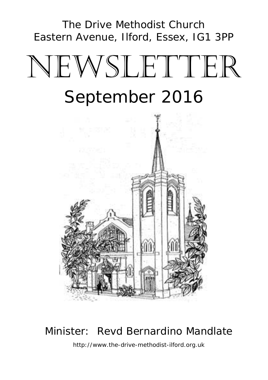



# Minister: Revd Bernardino Mandlate

http://www.the-drive-methodist-ilford.org.uk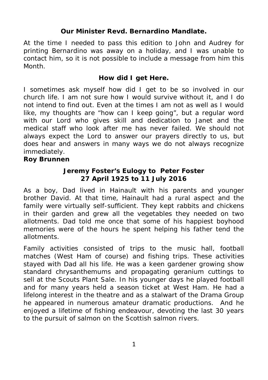### **Our Minister Revd. Bernardino Mandlate.**

At the time I needed to pass this edition to John and Audrey for printing Bernardino was away on a holiday, and I was unable to contact him, so it is not possible to include a message from him this Month.

**How did I get Here.**

I sometimes ask myself how did I get to be so involved in our church life. I am not sure how I would survive without it, and I do not intend to find out. Even at the times I am not as well as I would like, my thoughts are "how can I keep going", but a regular word with our Lord who gives skill and dedication to Janet and the medical staff who look after me has never failed. We should not always expect the Lord to answer our prayers directly to us, but does hear and answers in many ways we do not always recognize immediately.

*Roy Brunnen*

#### **Jeremy Foster's Eulogy to Peter Foster 27 April 1925 to 11 July 2016**

As a boy, Dad lived in Hainault with his parents and younger brother David. At that time, Hainault had a rural aspect and the family were virtually self-sufficient. They kept rabbits and chickens in their garden and grew all the vegetables they needed on two allotments. Dad told me once that some of his happiest boyhood memories were of the hours he spent helping his father tend the allotments.

Family activities consisted of trips to the music hall, football matches (West Ham of course) and fishing trips. These activities stayed with Dad all his life. He was a keen gardener growing show standard chrysanthemums and propagating geranium cuttings to sell at the Scouts Plant Sale. In his younger days he played football and for many years held a season ticket at West Ham. He had a lifelong interest in the theatre and as a stalwart of the Drama Group he appeared in numerous amateur dramatic productions. And he enjoyed a lifetime of fishing endeavour, devoting the last 30 years to the pursuit of salmon on the Scottish salmon rivers.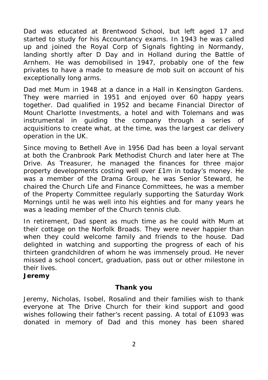Dad was educated at Brentwood School, but left aged 17 and started to study for his Accountancy exams. In 1943 he was called up and joined the Royal Corp of Signals fighting in Normandy, landing shortly after D Day and in Holland during the Battle of Arnhem. He was demobilised in 1947, probably one of the few privates to have a made to measure de mob suit on account of his exceptionally long arms.

Dad met Mum in 1948 at a dance in a Hall in Kensington Gardens. They were married in 1951 and enjoyed over 60 happy years together. Dad qualified in 1952 and became Financial Director of Mount Charlotte Investments, a hotel and with Tolemans and was instrumental in guiding the company through a series of acquisitions to create what, at the time, was the largest car delivery operation in the UK.

Since moving to Bethell Ave in 1956 Dad has been a loyal servant at both the Cranbrook Park Methodist Church and later here at The Drive. As Treasurer, he managed the finances for three major property developments costing well over £1m in today's money. He was a member of the Drama Group, he was Senior Steward, he chaired the Church Life and Finance Committees, he was a member of the Property Committee regularly supporting the Saturday Work Mornings until he was well into his eighties and for many years he was a leading member of the Church tennis club.

In retirement, Dad spent as much time as he could with Mum at their cottage on the Norfolk Broads. They were never happier than when they could welcome family and friends to the house. Dad delighted in watching and supporting the progress of each of his thirteen grandchildren of whom he was immensely proud. He never missed a school concert, graduation, pass out or other milestone in their lives.

*Jeremy*

# **Thank you**

Jeremy, Nicholas, Isobel, Rosalind and their families wish to thank everyone at The Drive Church for their kind support and good wishes following their father's recent passing. A total of £1093 was donated in memory of Dad and this money has been shared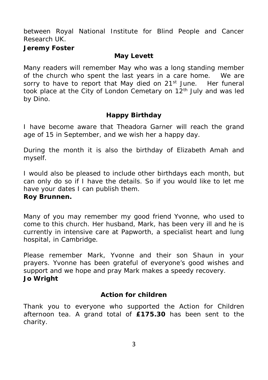between Royal National Institute for Blind People and Cancer Research UK.

*Jeremy Foster*

#### **May Levett**

Many readers will remember May who was a long standing member of the church who spent the last years in a care home. We are sorry to have to report that May died on 21<sup>st</sup> June. Her funeral took place at the City of London Cemetary on 12th July and was led by Dino.

#### **Happy Birthday**

I have become aware that Theadora Garner will reach the grand age of 15 in September, and we wish her a happy day.

During the month it is also the birthday of Elizabeth Amah and myself.

I would also be pleased to include other birthdays each month, but can only do so if I have the details. So if you would like to let me have your dates I can publish them. *Roy Brunnen.*

Many of you may remember my good friend Yvonne, who used to come to this church. Her husband, Mark, has been very ill and he is currently in intensive care at Papworth, a specialist heart and lung hospital, in Cambridge.

Please remember Mark, Yvonne and their son Shaun in your prayers. Yvonne has been grateful of everyone's good wishes and support and we hope and pray Mark makes a speedy recovery. *Jo Wright*

#### **Action for children**

Thank you to everyone who supported the Action for Children afternoon tea. A grand total of **£175.30** has been sent to the charity.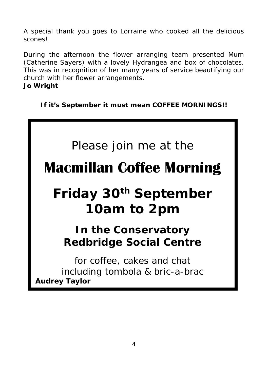A special thank you goes to Lorraine who cooked all the delicious scones!

During the afternoon the flower arranging team presented Mum (Catherine Sayers) with a lovely Hydrangea and box of chocolates. This was in recognition of her many years of service beautifying our church with her flower arrangements. *Jo Wright*

**If it's September it must mean COFFEE MORNINGS!!**

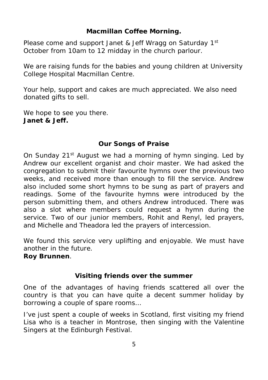**Macmillan Coffee Morning.**

Please come and support Janet & Jeff Wragg on Saturday 1<sup>st</sup> October from 10am to 12 midday in the church parlour.

We are raising funds for the babies and young children at University College Hospital Macmillan Centre.

Your help, support and cakes are much appreciated. We also need donated gifts to sell.

We hope to see you there. *Janet & Jeff.*

# **Our Songs of Praise**

On Sunday 21<sup>st</sup> August we had a morning of hymn singing. Led by Andrew our excellent organist and choir master. We had asked the congregation to submit their favourite hymns over the previous two weeks, and received more than enough to fill the service. Andrew also included some short hymns to be sung as part of prayers and readings. Some of the favourite hymns were introduced by the person submitting them, and others Andrew introduced. There was also a slot where members could request a hymn during the service. Two of our junior members, Rohit and Renyl, led prayers, and Michelle and Theadora led the prayers of intercession.

We found this service very uplifting and enjoyable. We must have another in the future. *Roy Brunnen*.

**Visiting friends over the summer**

One of the advantages of having friends scattered all over the country is that you can have quite a decent summer holiday by borrowing a couple of spare rooms…

I've just spent a couple of weeks in Scotland, first visiting my friend Lisa who is a teacher in Montrose, then singing with the Valentine Singers at the Edinburgh Festival.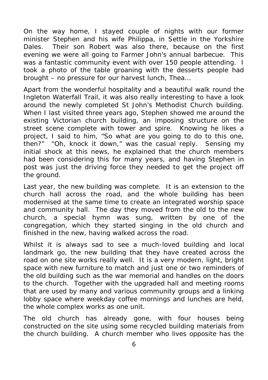On the way home, I stayed couple of nights with our former minister Stephen and his wife Philippa, in Settle in the Yorkshire Dales. Their son Robert was also there, because on the first evening we were all going to Farmer John's annual barbecue. This was a fantastic community event with over 150 people attending. I took a photo of the table groaning with the desserts people had brought – no pressure for our harvest lunch, Thea…

Apart from the wonderful hospitality and a beautiful walk round the Ingleton Waterfall Trail, it was also really interesting to have a look around the newly completed St John's Methodist Church building. When I last visited three years ago, Stephen showed me around the existing Victorian church building, an imposing structure on the street scene complete with tower and spire. Knowing he likes a project, I said to him, "So what are you going to do to this one, then?" "Oh, knock it down," was the casual reply. Sensing my initial shock at this news, he explained that the church members had been considering this for many years, and having Stephen in post was just the driving force they needed to get the project off the ground.

Last year, the new building was complete. It is an extension to the church hall across the road, and the whole building has been modernised at the same time to create an integrated worship space and community hall. The day they moved from the old to the new church, a special hymn was sung, written by one of the congregation, which they started singing in the old church and finished in the new, having walked across the road.

Whilst it is always sad to see a much-loved building and local landmark go, the new building that they have created across the road on one site works really well. It is a very modern, light, bright space with new furniture to match and just one or two reminders of the old building such as the war memorial and handles on the doors to the church. Together with the upgraded hall and meeting rooms that are used by many and various community groups and a linking lobby space where weekday coffee mornings and lunches are held, the whole complex works as one unit.

The old church has already gone, with four houses being constructed on the site using some recycled building materials from the church building. A church member who lives opposite has the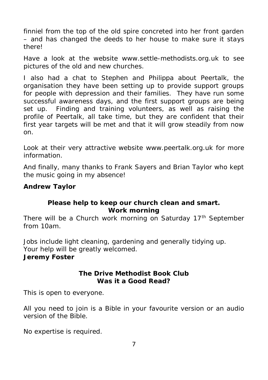finniel from the top of the old spire concreted into her front garden – and has changed the deeds to her house to make sure it stays there!

Have a look at the website *www.settle-methodists.org.uk* to see pictures of the old and new churches.

I also had a chat to Stephen and Philippa about Peertalk, the organisation they have been setting up to provide support groups for people with depression and their families. They have run some successful awareness days, and the first support groups are being set up. Finding and training volunteers, as well as raising the profile of Peertalk, all take time, but they are confident that their first year targets will be met and that it will grow steadily from now on.

Look at their very attractive website *www.peertalk.org.uk* for more information.

And finally, many thanks to Frank Sayers and Brian Taylor who kept the music going in my absence!

*Andrew Taylor*

**Please help to keep our church clean and smart. Work morning**

There will be a Church work morning on Saturday 17<sup>th</sup> September from 10am.

Jobs include light cleaning, gardening and generally tidying up. Your help will be greatly welcomed. *Jeremy Foster*

> **The Drive Methodist Book Club Was it a Good Read?**

This is open to everyone.

All you need to join is a Bible in your favourite version or an audio version of the Bible.

No expertise is required.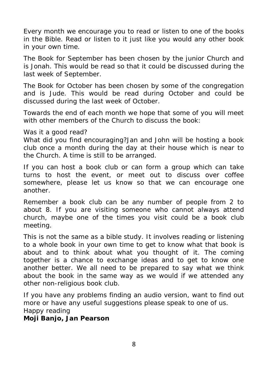Every month we encourage you to read or listen to one of the books in the Bible. Read or listen to it just like you would any other book in your own time.

The Book for September has been chosen by the junior Church and is Jonah. This would be read so that it could be discussed during the last week of September.

The Book for October has been chosen by some of the congregation and is Jude. This would be read during October and could be discussed during the last week of October.

Towards the end of each month we hope that some of you will meet with other members of the Church to discuss the book:

Was it a good read?

What did you find encouraging?Jan and John will be hosting a book club once a month during the day at their house which is near to the Church. A time is still to be arranged.

If you can host a book club or can form a group which can take turns to host the event, or meet out to discuss over coffee somewhere, please let us know so that we can encourage one another.

Remember a book club can be any number of people from 2 to about 8. If you are visiting someone who cannot always attend church, maybe one of the times you visit could be a book club meeting.

This is not the same as a bible study. It involves reading or listening to a whole book in your own time to get to know what that book is about and to think about what you thought of it. The coming together is a chance to exchange ideas and to get to know one another better. We all need to be prepared to say what we think about the book in the same way as we would if we attended any other non-religious book club.

If you have any problems finding an audio version, want to find out more or have any useful suggestions please speak to one of us. Happy reading *Moji Banjo, Jan Pearson*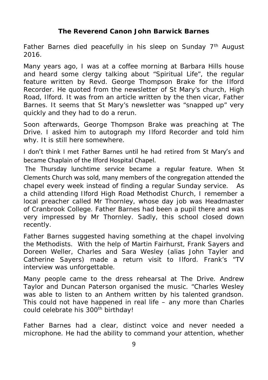## **The Reverend Canon John Barwick Barnes**

Father Barnes died peacefully in his sleep on Sunday 7<sup>th</sup> August 2016.

Many years ago, I was at a coffee morning at Barbara Hills house and heard some clergy talking about "Spiritual Life", the regular feature written by Revd. George Thompson Brake for the Ilford Recorder. He quoted from the newsletter of St Mary's church, High Road, Ilford. It was from an article written by the then vicar, Father Barnes. It seems that St Mary's newsletter was "snapped up" very quickly and they had to do a rerun.

Soon afterwards, George Thompson Brake was preaching at The Drive. I asked him to autograph my Ilford Recorder and told him why. It is still here somewhere.

I don't think I met Father Barnes until he had retired from St Mary's and became Chaplain of the Ilford Hospital Chapel.

The Thursday lunchtime service became a regular feature. When St Clements Church was sold, many members of the congregation attended the chapel every week instead of finding a regular Sunday service. As a child attending Ilford High Road Methodist Church, I remember a local preacher called Mr Thornley, whose day job was Headmaster of Cranbrook College. Father Barnes had been a pupil there and was very impressed by Mr Thornley. Sadly, this school closed down recently.

Father Barnes suggested having something at the chapel involving the Methodists. With the help of Martin Fairhurst, Frank Sayers and Doreen Weller, Charles and Sara Wesley (alias John Tayler and Catherine Sayers) made a return visit to Ilford. Frank's "TV interview was unforgettable.

Many people came to the dress rehearsal at The Drive. Andrew Taylor and Duncan Paterson organised the music. "Charles Wesley was able to listen to an Anthem written by his talented grandson. This could not have happened in real life – any more than Charles could celebrate his 300<sup>th</sup> birthday!

Father Barnes had a clear, distinct voice and never needed a microphone. He had the ability to command your attention, whether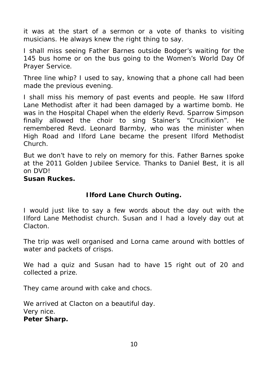it was at the start of a sermon or a vote of thanks to visiting musicians. He always knew the right thing to say.

I shall miss seeing Father Barnes outside Bodger's waiting for the 145 bus home or on the bus going to the Women's World Day Of Prayer Service.

Three line whip? I used to say, knowing that a phone call had been made the previous evening.

I shall miss his memory of past events and people. He saw Ilford Lane Methodist after it had been damaged by a wartime bomb. He was in the Hospital Chapel when the elderly Revd. Sparrow Simpson finally allowed the choir to sing Stainer's "Crucifixion". He remembered Revd. Leonard Barmby, who was the minister when High Road and Ilford Lane became the present Ilford Methodist Church.

But we don't have to rely on memory for this. Father Barnes spoke at the 2011 Golden Jubilee Service. Thanks to Daniel Best, it is all on DVD! *Susan Ruckes.*

**Ilford Lane Church Outing.**

I would just like to say a few words about the day out with the Ilford Lane Methodist church. Susan and I had a lovely day out at Clacton.

The trip was well organised and Lorna came around with bottles of water and packets of crisps.

We had a quiz and Susan had to have 15 right out of 20 and collected a prize.

They came around with cake and chocs.

We arrived at Clacton on a beautiful day. Very nice. *Peter Sharp.*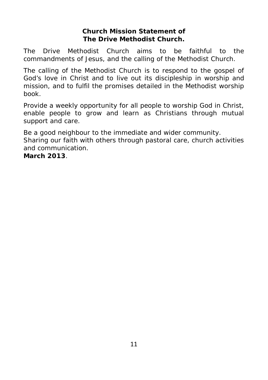**Church Mission Statement of The Drive Methodist Church.**

The Drive Methodist Church aims to be faithful to the commandments of Jesus, and the calling of the Methodist Church.

The calling of the Methodist Church is to respond to the gospel of God's love in Christ and to live out its discipleship in worship and mission, and to fulfil the promises detailed in the Methodist worship book.

Provide a weekly opportunity for all people to worship God in Christ, enable people to grow and learn as Christians through mutual support and care.

Be a good neighbour to the immediate and wider community. Sharing our faith with others through pastoral care, church activities and communication. *March 2013*.